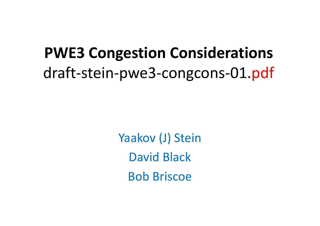# **PWE3 Congestion Considerations**draft-stein-pwe3-congcons-01.pdf

Yaakov (J) SteinDavid BlackBob Briscoe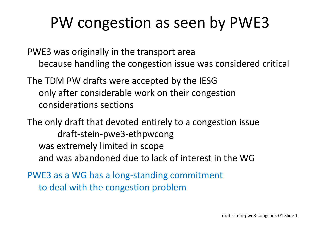### PW congestion as seen by PWE3

PWE3 was originally in the transport areabecause handling the congestion issue was considered critical

The TDM PW drafts were accepted by the IESG only after considerable work on their congestion considerations sections

The only draft that devoted entirely to a congestion issuedraft-stein-pwe3-ethpwcong was extremely limited in scopeand was abandoned due to lack of interest in the WG

PWE3 as a WG has a long-standing commitmentto deal with the congestion problem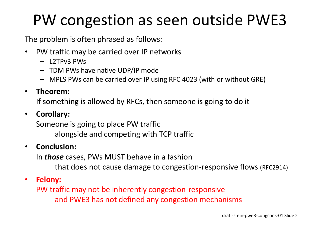# PW congestion as seen outside PWE3

The problem is often phrased as follows:

- $\bullet$  PW traffic may be carried over IP networks
	- L2TPv3 PWs
	- TDM PWs have native UDP/IP mode
	- MPLS PWs can be carried over IP using RFC 4023 (with or without GRE)

#### $\bullet$ **Theorem:**

If something is allowed by RFCs, then someone is going to do it

### $\bullet$ **Corollary:**

Someone is going to place PW traffic alongside and competing with TCP traffic

#### $\bullet$ **Conclusion:**

In *those* cases, PWs MUST behave in a fashion

that does not cause damage to congestion-responsive flows (RFC2914)

### $\bullet$ **Felony:**

PW traffic may not be inherently congestion-responsiveand PWE3 has not defined any congestion mechanisms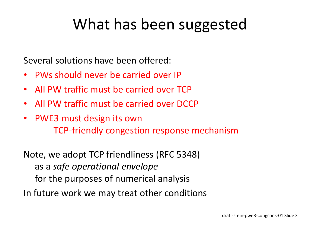## What has been suggested

Several solutions have been offered:

- $\bullet$ PWs should never be carried over IP
- $\bullet$ All PW traffic must be carried over TCP
- •All PW traffic must be carried over DCCP
- $\bullet$  PWE3 must design its ownTCP-friendly congestion response mechanism

Note, we adopt TCP friendliness (RFC 5348)as a *safe operational envelope* for the purposes of numerical analysisIn future work we may treat other conditions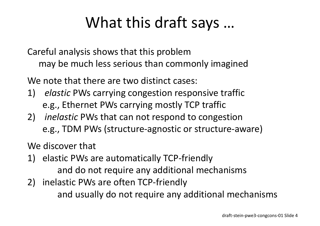## What this draft says …

Careful analysis shows that this problem may be much less serious than commonly imagined

We note that there are two distinct cases:

- 1) *elastic* PWs carrying congestion responsive traffice.g., Ethernet PWs carrying mostly TCP traffic
- 2) *inelastic* PWs that can not respond to congestione.g., TDM PWs (structure-agnostic or structure-aware)

We discover that

- 1) elastic PWs are automatically TCP-friendly and do not require any additional mechanisms
- 2) inelastic PWs are often TCP-friendly and usually do not require any additional mechanisms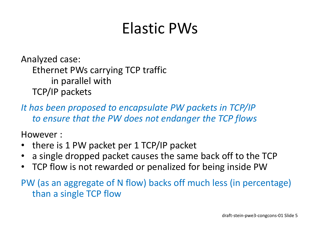# Elastic PWs

Analyzed case:Ethernet PWs carrying TCP traffic in parallel withTCP/IP packets

*It has been proposed to encapsulate PW packets in TCP/IPto ensure that the PW does not endanger the TCP flows*

However :

- •there is 1 PW packet per 1 TCP/IP packet
- •a single dropped packet causes the same back off to the TCP
- TCP flow is not rewarded or penalized for being inside PW

 PW (as an aggregate of N flow) backs off much less (in percentage) than a single TCP flow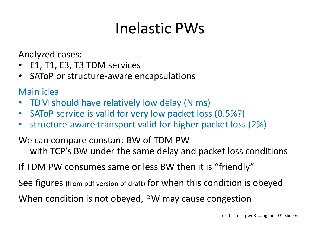# Inelastic PWs

Analyzed cases:

- •E1, T1, E3, T3 TDM services
- $\bullet$ SAToP or structure-aware encapsulations

Main idea

- TDM should have relatively low delay (N ms) •
- •SAToP service is valid for very low packet loss (0.5%?)
- $\bullet$ structure-aware transport valid for higher packet loss (2%)

We can compare constant BW of TDM PW with TCP's BW under the same delay and packet loss conditions

If TDM PW consumes same or less BW then it is "friendly"

See figures (from pdf version of draft) for when this condition is obeyed

When condition is not obeyed, PW may cause congestion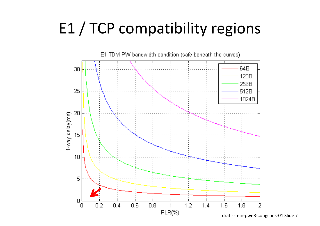# E1 / TCP compatibility regions



draft-stein-pwe3-congcons-01 Slide 7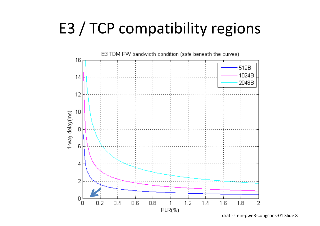# E3 / TCP compatibility regions



draft-stein-pwe3-congcons-01 Slide 8